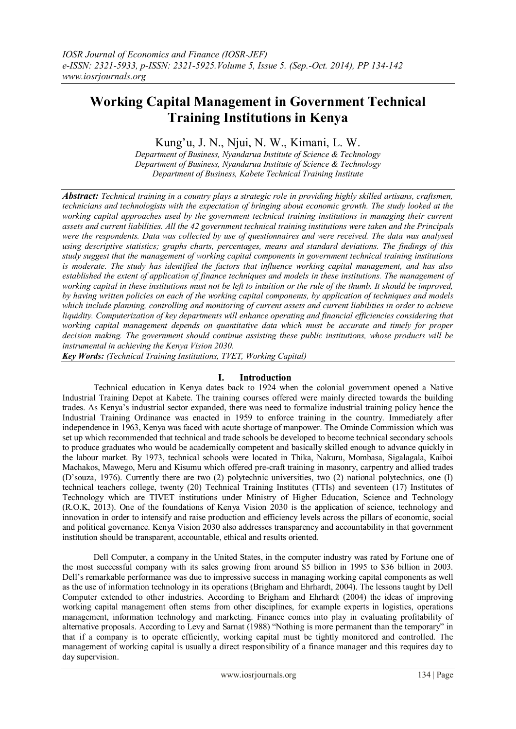# **Working Capital Management in Government Technical Training Institutions in Kenya**

Kung"u, J. N., Njui, N. W., Kimani, L. W.

*Department of Business, Nyandarua Institute of Science & Technology Department of Business, Nyandarua Institute of Science & Technology Department of Business, Kabete Technical Training Institute*

*Abstract: Technical training in a country plays a strategic role in providing highly skilled artisans, craftsmen, technicians and technologists with the expectation of bringing about economic growth. The study looked at the working capital approaches used by the government technical training institutions in managing their current assets and current liabilities. All the 42 government technical training institutions were taken and the Principals were the respondents. Data was collected by use of questionnaires and were received. The data was analysed using descriptive statistics; graphs charts, percentages, means and standard deviations. The findings of this study suggest that the management of working capital components in government technical training institutions is moderate. The study has identified the factors that influence working capital management, and has also established the extent of application of finance techniques and models in these institutions. The management of*  working capital in these institutions must not be left to intuition or the rule of the thumb. It should be improved, *by having written policies on each of the working capital components, by application of techniques and models which include planning, controlling and monitoring of current assets and current liabilities in order to achieve liquidity. Computerization of key departments will enhance operating and financial efficiencies considering that working capital management depends on quantitative data which must be accurate and timely for proper decision making. The government should continue assisting these public institutions, whose products will be instrumental in achieving the Kenya Vision 2030.*

*Key Words: (Technical Training Institutions, TVET, Working Capital)*

## **I. Introduction**

Technical education in Kenya dates back to 1924 when the colonial government opened a Native Industrial Training Depot at Kabete. The training courses offered were mainly directed towards the building trades. As Kenya"s industrial sector expanded, there was need to formalize industrial training policy hence the Industrial Training Ordinance was enacted in 1959 to enforce training in the country. Immediately after independence in 1963, Kenya was faced with acute shortage of manpower. The Ominde Commission which was set up which recommended that technical and trade schools be developed to become technical secondary schools to produce graduates who would be academically competent and basically skilled enough to advance quickly in the labour market. By 1973, technical schools were located in Thika, Nakuru, Mombasa, Sigalagala, Kaiboi Machakos, Mawego, Meru and Kisumu which offered pre-craft training in masonry, carpentry and allied trades (D"souza, 1976). Currently there are two (2) polytechnic universities, two (2) national polytechnics, one (I) technical teachers college, twenty (20) Technical Training Institutes (TTIs) and seventeen (17) Institutes of Technology which are TIVET institutions under Ministry of Higher Education, Science and Technology (R.O.K, 2013). One of the foundations of Kenya Vision 2030 is the application of science, technology and innovation in order to intensify and raise production and efficiency levels across the pillars of economic, social and political governance. Kenya Vision 2030 also addresses transparency and accountability in that government institution should be transparent, accountable, ethical and results oriented.

Dell Computer, a company in the United States, in the computer industry was rated by Fortune one of the most successful company with its sales growing from around \$5 billion in 1995 to \$36 billion in 2003. Dell"s remarkable performance was due to impressive success in managing working capital components as well as the use of information technology in its operations (Brigham and Ehrhardt, 2004). The lessons taught by Dell Computer extended to other industries. According to Brigham and Ehrhardt (2004) the ideas of improving working capital management often stems from other disciplines, for example experts in logistics, operations management, information technology and marketing. Finance comes into play in evaluating profitability of alternative proposals. According to Levy and Sarnat (1988) "Nothing is more permanent than the temporary" in that if a company is to operate efficiently, working capital must be tightly monitored and controlled. The management of working capital is usually a direct responsibility of a finance manager and this requires day to day supervision.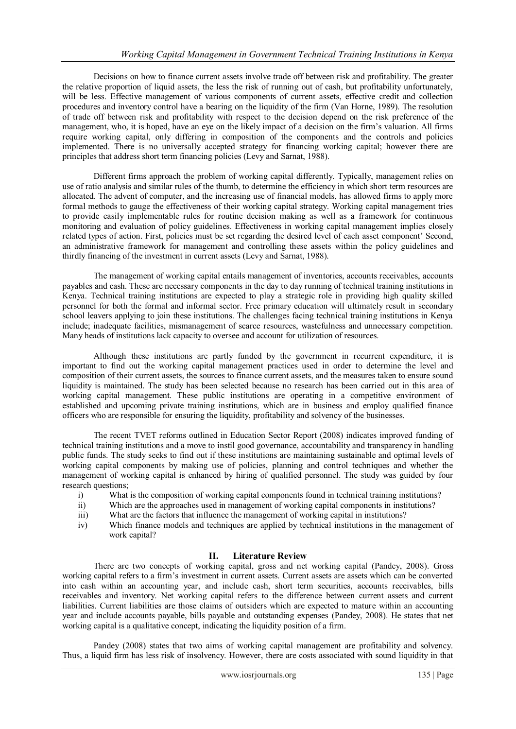Decisions on how to finance current assets involve trade off between risk and profitability. The greater the relative proportion of liquid assets, the less the risk of running out of cash, but profitability unfortunately, will be less. Effective management of various components of current assets, effective credit and collection procedures and inventory control have a bearing on the liquidity of the firm (Van Horne, 1989). The resolution of trade off between risk and profitability with respect to the decision depend on the risk preference of the management, who, it is hoped, have an eye on the likely impact of a decision on the firm"s valuation. All firms require working capital, only differing in composition of the components and the controls and policies implemented. There is no universally accepted strategy for financing working capital; however there are principles that address short term financing policies (Levy and Sarnat, 1988).

Different firms approach the problem of working capital differently. Typically, management relies on use of ratio analysis and similar rules of the thumb, to determine the efficiency in which short term resources are allocated. The advent of computer, and the increasing use of financial models, has allowed firms to apply more formal methods to gauge the effectiveness of their working capital strategy. Working capital management tries to provide easily implementable rules for routine decision making as well as a framework for continuous monitoring and evaluation of policy guidelines. Effectiveness in working capital management implies closely related types of action. First, policies must be set regarding the desired level of each asset component" Second, an administrative framework for management and controlling these assets within the policy guidelines and thirdly financing of the investment in current assets (Levy and Sarnat, 1988).

The management of working capital entails management of inventories, accounts receivables, accounts payables and cash. These are necessary components in the day to day running of technical training institutions in Kenya. Technical training institutions are expected to play a strategic role in providing high quality skilled personnel for both the formal and informal sector. Free primary education will ultimately result in secondary school leavers applying to join these institutions. The challenges facing technical training institutions in Kenya include; inadequate facilities, mismanagement of scarce resources, wastefulness and unnecessary competition. Many heads of institutions lack capacity to oversee and account for utilization of resources.

Although these institutions are partly funded by the government in recurrent expenditure, it is important to find out the working capital management practices used in order to determine the level and composition of their current assets, the sources to finance current assets, and the measures taken to ensure sound liquidity is maintained. The study has been selected because no research has been carried out in this area of working capital management. These public institutions are operating in a competitive environment of established and upcoming private training institutions, which are in business and employ qualified finance officers who are responsible for ensuring the liquidity, profitability and solvency of the businesses.

The recent TVET reforms outlined in Education Sector Report (2008) indicates improved funding of technical training institutions and a move to instil good governance, accountability and transparency in handling public funds. The study seeks to find out if these institutions are maintaining sustainable and optimal levels of working capital components by making use of policies, planning and control techniques and whether the management of working capital is enhanced by hiring of qualified personnel. The study was guided by four research questions;

- i) What is the composition of working capital components found in technical training institutions?
- ii) Which are the approaches used in management of working capital components in institutions?
- iii) What are the factors that influence the management of working capital in institutions?
- iv) Which finance models and techniques are applied by technical institutions in the management of work capital?

## **II. Literature Review**

There are two concepts of working capital, gross and net working capital (Pandey, 2008). Gross working capital refers to a firm"s investment in current assets. Current assets are assets which can be converted into cash within an accounting year, and include cash, short term securities, accounts receivables, bills receivables and inventory. Net working capital refers to the difference between current assets and current liabilities. Current liabilities are those claims of outsiders which are expected to mature within an accounting year and include accounts payable, bills payable and outstanding expenses (Pandey, 2008). He states that net working capital is a qualitative concept, indicating the liquidity position of a firm.

Pandey (2008) states that two aims of working capital management are profitability and solvency. Thus, a liquid firm has less risk of insolvency. However, there are costs associated with sound liquidity in that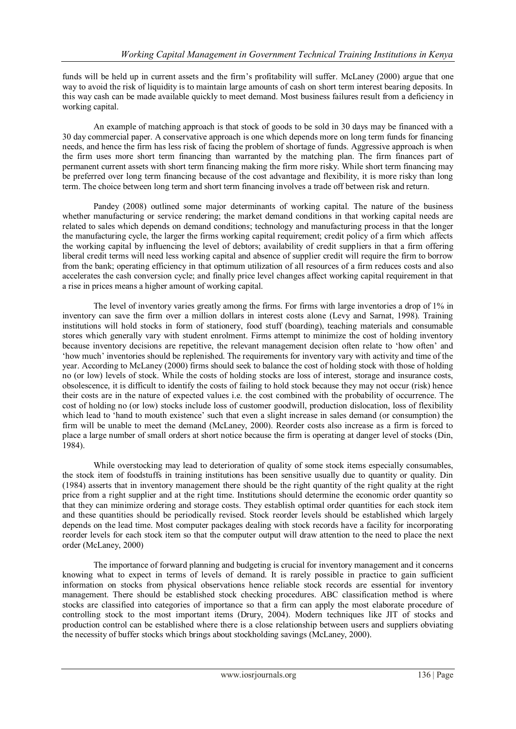funds will be held up in current assets and the firm"s profitability will suffer. McLaney (2000) argue that one way to avoid the risk of liquidity is to maintain large amounts of cash on short term interest bearing deposits. In this way cash can be made available quickly to meet demand. Most business failures result from a deficiency in working capital.

An example of matching approach is that stock of goods to be sold in 30 days may be financed with a 30 day commercial paper. A conservative approach is one which depends more on long term funds for financing needs, and hence the firm has less risk of facing the problem of shortage of funds. Aggressive approach is when the firm uses more short term financing than warranted by the matching plan. The firm finances part of permanent current assets with short term financing making the firm more risky. While short term financing may be preferred over long term financing because of the cost advantage and flexibility, it is more risky than long term. The choice between long term and short term financing involves a trade off between risk and return.

Pandey (2008) outlined some major determinants of working capital. The nature of the business whether manufacturing or service rendering; the market demand conditions in that working capital needs are related to sales which depends on demand conditions; technology and manufacturing process in that the longer the manufacturing cycle, the larger the firms working capital requirement; credit policy of a firm which affects the working capital by influencing the level of debtors; availability of credit suppliers in that a firm offering liberal credit terms will need less working capital and absence of supplier credit will require the firm to borrow from the bank; operating efficiency in that optimum utilization of all resources of a firm reduces costs and also accelerates the cash conversion cycle; and finally price level changes affect working capital requirement in that a rise in prices means a higher amount of working capital.

The level of inventory varies greatly among the firms. For firms with large inventories a drop of 1% in inventory can save the firm over a million dollars in interest costs alone (Levy and Sarnat, 1998). Training institutions will hold stocks in form of stationery, food stuff (boarding), teaching materials and consumable stores which generally vary with student enrolment. Firms attempt to minimize the cost of holding inventory because inventory decisions are repetitive, the relevant management decision often relate to "how often" and "how much" inventories should be replenished. The requirements for inventory vary with activity and time of the year. According to McLaney (2000) firms should seek to balance the cost of holding stock with those of holding no (or low) levels of stock. While the costs of holding stocks are loss of interest, storage and insurance costs, obsolescence, it is difficult to identify the costs of failing to hold stock because they may not occur (risk) hence their costs are in the nature of expected values i.e. the cost combined with the probability of occurrence. The cost of holding no (or low) stocks include loss of customer goodwill, production dislocation, loss of flexibility which lead to 'hand to mouth existence' such that even a slight increase in sales demand (or consumption) the firm will be unable to meet the demand (McLaney, 2000). Reorder costs also increase as a firm is forced to place a large number of small orders at short notice because the firm is operating at danger level of stocks (Din, 1984).

While overstocking may lead to deterioration of quality of some stock items especially consumables, the stock item of foodstuffs in training institutions has been sensitive usually due to quantity or quality. Din (1984) asserts that in inventory management there should be the right quantity of the right quality at the right price from a right supplier and at the right time. Institutions should determine the economic order quantity so that they can minimize ordering and storage costs. They establish optimal order quantities for each stock item and these quantities should be periodically revised. Stock reorder levels should be established which largely depends on the lead time. Most computer packages dealing with stock records have a facility for incorporating reorder levels for each stock item so that the computer output will draw attention to the need to place the next order (McLaney, 2000)

The importance of forward planning and budgeting is crucial for inventory management and it concerns knowing what to expect in terms of levels of demand. It is rarely possible in practice to gain sufficient information on stocks from physical observations hence reliable stock records are essential for inventory management. There should be established stock checking procedures. ABC classification method is where stocks are classified into categories of importance so that a firm can apply the most elaborate procedure of controlling stock to the most important items (Drury, 2004). Modern techniques like JIT of stocks and production control can be established where there is a close relationship between users and suppliers obviating the necessity of buffer stocks which brings about stockholding savings (McLaney, 2000).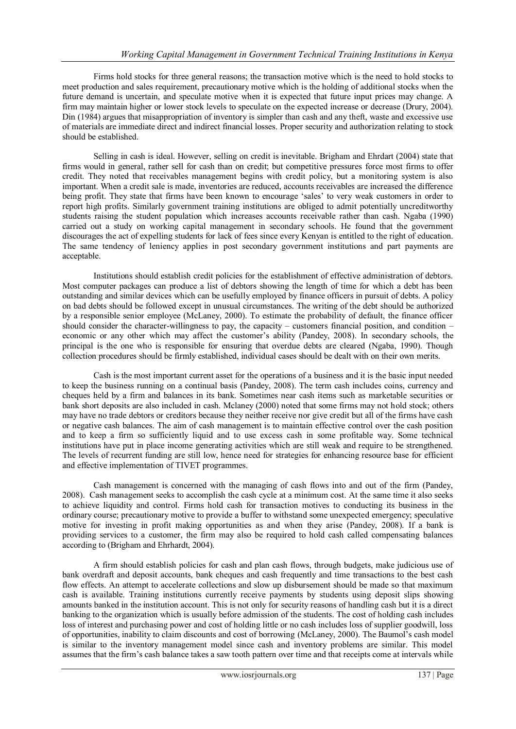Firms hold stocks for three general reasons; the transaction motive which is the need to hold stocks to meet production and sales requirement, precautionary motive which is the holding of additional stocks when the future demand is uncertain, and speculate motive when it is expected that future input prices may change. A firm may maintain higher or lower stock levels to speculate on the expected increase or decrease (Drury, 2004). Din (1984) argues that misappropriation of inventory is simpler than cash and any theft, waste and excessive use of materials are immediate direct and indirect financial losses. Proper security and authorization relating to stock should be established.

Selling in cash is ideal. However, selling on credit is inevitable. Brigham and Ehrdart (2004) state that firms would in general, rather sell for cash than on credit; but competitive pressures force most firms to offer credit. They noted that receivables management begins with credit policy, but a monitoring system is also important. When a credit sale is made, inventories are reduced, accounts receivables are increased the difference being profit. They state that firms have been known to encourage "sales" to very weak customers in order to report high profits. Similarly government training institutions are obliged to admit potentially uncreditworthy students raising the student population which increases accounts receivable rather than cash. Ngaba (1990) carried out a study on working capital management in secondary schools. He found that the government discourages the act of expelling students for lack of fees since every Kenyan is entitled to the right of education. The same tendency of leniency applies in post secondary government institutions and part payments are acceptable.

Institutions should establish credit policies for the establishment of effective administration of debtors. Most computer packages can produce a list of debtors showing the length of time for which a debt has been outstanding and similar devices which can be usefully employed by finance officers in pursuit of debts. A policy on bad debts should be followed except in unusual circumstances. The writing of the debt should be authorized by a responsible senior employee (McLaney, 2000). To estimate the probability of default, the finance officer should consider the character-willingness to pay, the capacity – customers financial position, and condition – economic or any other which may affect the customer's ability (Pandey, 2008). In secondary schools, the principal is the one who is responsible for ensuring that overdue debts are cleared (Ngaba, 1990). Though collection procedures should be firmly established, individual cases should be dealt with on their own merits.

Cash is the most important current asset for the operations of a business and it is the basic input needed to keep the business running on a continual basis (Pandey, 2008). The term cash includes coins, currency and cheques held by a firm and balances in its bank. Sometimes near cash items such as marketable securities or bank short deposits are also included in cash. Mclaney (2000) noted that some firms may not hold stock; others may have no trade debtors or creditors because they neither receive nor give credit but all of the firms have cash or negative cash balances. The aim of cash management is to maintain effective control over the cash position and to keep a firm so sufficiently liquid and to use excess cash in some profitable way. Some technical institutions have put in place income generating activities which are still weak and require to be strengthened. The levels of recurrent funding are still low, hence need for strategies for enhancing resource base for efficient and effective implementation of TIVET programmes.

Cash management is concerned with the managing of cash flows into and out of the firm (Pandey, 2008). Cash management seeks to accomplish the cash cycle at a minimum cost. At the same time it also seeks to achieve liquidity and control. Firms hold cash for transaction motives to conducting its business in the ordinary course; precautionary motive to provide a buffer to withstand some unexpected emergency; speculative motive for investing in profit making opportunities as and when they arise (Pandey, 2008). If a bank is providing services to a customer, the firm may also be required to hold cash called compensating balances according to (Brigham and Ehrhardt, 2004).

A firm should establish policies for cash and plan cash flows, through budgets, make judicious use of bank overdraft and deposit accounts, bank cheques and cash frequently and time transactions to the best cash flow effects. An attempt to accelerate collections and slow up disbursement should be made so that maximum cash is available. Training institutions currently receive payments by students using deposit slips showing amounts banked in the institution account. This is not only for security reasons of handling cash but it is a direct banking to the organization which is usually before admission of the students. The cost of holding cash includes loss of interest and purchasing power and cost of holding little or no cash includes loss of supplier goodwill, loss of opportunities, inability to claim discounts and cost of borrowing (McLaney, 2000). The Baumol"s cash model is similar to the inventory management model since cash and inventory problems are similar. This model assumes that the firm"s cash balance takes a saw tooth pattern over time and that receipts come at intervals while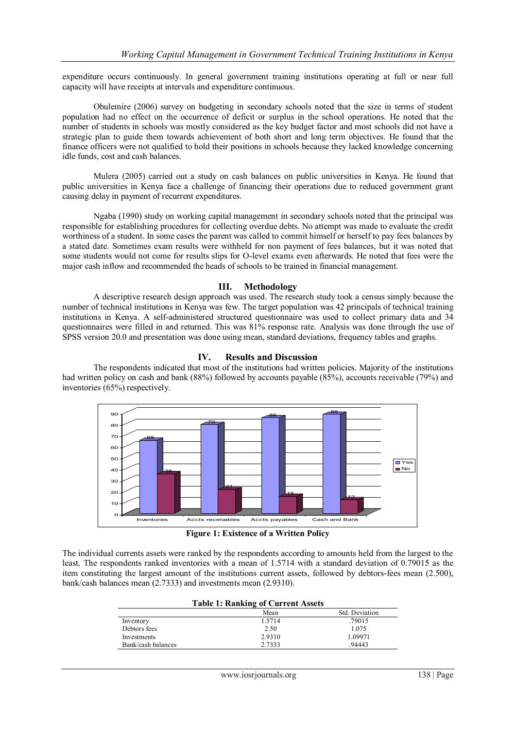expenditure occurs continuously. In general government training institutions operating at full or near full capacity will have receipts at intervals and expenditure continuous.

Obulemire (2006) survey on budgeting in secondary schools noted that the size in terms of student population had no effect on the occurrence of deficit or surplus in the school operations. He noted that the number of students in schools was mostly considered as the key budget factor and most schools did not have a strategic plan to guide them towards achievement of both short and long term objectives. He found that the finance officers were not qualified to hold their positions in schools because they lacked knowledge concerning idle funds, cost and cash balances.

Mulera (2005) carried out a study on cash balances on public universities in Kenya. He found that public universities in Kenya face a challenge of financing their operations due to reduced government grant causing delay in payment of recurrent expenditures.

Ngaba (1990) study on working capital management in secondary schools noted that the principal was responsible for establishing procedures for collecting overdue debts. No attempt was made to evaluate the credit worthiness of a student. In some cases the parent was called to commit himself or herself to pay fees balances by a stated date. Sometimes exam results were withheld for non payment of fees balances, but it was noted that some students would not come for results slips for O-level exams even afterwards. He noted that fees were the major cash inflow and recommended the heads of schools to be trained in financial management.

#### **III. Methodology**

A descriptive research design approach was used. The research study took a census simply because the number of technical institutions in Kenya was few. The target population was 42 principals of technical training institutions in Kenya. A self-administered structured questionnaire was used to collect primary data and 34 questionnaires were filled in and returned. This was 81% response rate. Analysis was done through the use of SPSS version 20.0 and presentation was done using mean, standard deviations, frequency tables and graphs.

#### **IV. Results and Discussion**

The respondents indicated that most of the institutions had written policies. Majority of the institutions had written policy on cash and bank (88%) followed by accounts payable (85%), accounts receivable (79%) and inventories (65%) respectively.



**Figure 1: Existence of a Written Policy**

The individual currents assets were ranked by the respondents according to amounts held from the largest to the least. The respondents ranked inventories with a mean of 1.5714 with a standard deviation of 0.79015 as the item constituting the largest amount of the institutions current assets, followed by debtors-fees mean (2.500), bank/cash balances mean (2.7333) and investments mean (2.9310).

|                    | Mean   | Std. Deviation |
|--------------------|--------|----------------|
| Inventory          | 1.5714 | .79015         |
| Debtors fees       | 2.50   | 1.075          |
| Investments        | 2.9310 | 1.09971        |
| Bank/cash balances | 2.7333 | .94443         |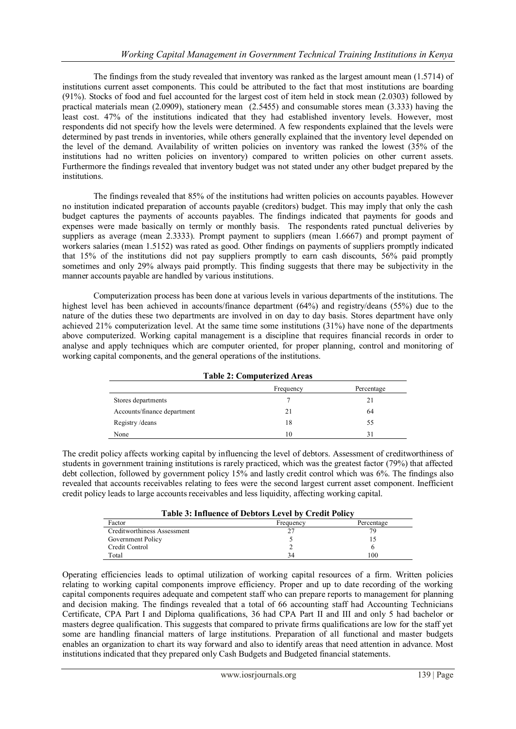The findings from the study revealed that inventory was ranked as the largest amount mean (1.5714) of institutions current asset components. This could be attributed to the fact that most institutions are boarding (91%). Stocks of food and fuel accounted for the largest cost of item held in stock mean (2.0303) followed by practical materials mean (2.0909), stationery mean (2.5455) and consumable stores mean (3.333) having the least cost. 47% of the institutions indicated that they had established inventory levels. However, most respondents did not specify how the levels were determined. A few respondents explained that the levels were determined by past trends in inventories, while others generally explained that the inventory level depended on the level of the demand. Availability of written policies on inventory was ranked the lowest (35% of the institutions had no written policies on inventory) compared to written policies on other current assets. Furthermore the findings revealed that inventory budget was not stated under any other budget prepared by the institutions.

The findings revealed that 85% of the institutions had written policies on accounts payables. However no institution indicated preparation of accounts payable (creditors) budget. This may imply that only the cash budget captures the payments of accounts payables. The findings indicated that payments for goods and expenses were made basically on termly or monthly basis. The respondents rated punctual deliveries by suppliers as average (mean 2.3333). Prompt payment to suppliers (mean 1.6667) and prompt payment of workers salaries (mean 1.5152) was rated as good. Other findings on payments of suppliers promptly indicated that 15% of the institutions did not pay suppliers promptly to earn cash discounts, 56% paid promptly sometimes and only 29% always paid promptly. This finding suggests that there may be subjectivity in the manner accounts payable are handled by various institutions.

Computerization process has been done at various levels in various departments of the institutions. The highest level has been achieved in accounts/finance department (64%) and registry/deans (55%) due to the nature of the duties these two departments are involved in on day to day basis. Stores department have only achieved 21% computerization level. At the same time some institutions (31%) have none of the departments above computerized. Working capital management is a discipline that requires financial records in order to analyse and apply techniques which are computer oriented, for proper planning, control and monitoring of working capital components, and the general operations of the institutions.

|  | <b>Table 2: Computerized Areas</b> |  |
|--|------------------------------------|--|
|--|------------------------------------|--|

|                             | Frequency | Percentage |
|-----------------------------|-----------|------------|
| Stores departments          |           | 21         |
| Accounts/finance department | 21        | 64         |
| Registry/deans              | 18        | 55         |
| None                        | 10        | 31         |

The credit policy affects working capital by influencing the level of debtors. Assessment of creditworthiness of students in government training institutions is rarely practiced, which was the greatest factor (79%) that affected debt collection, followed by government policy 15% and lastly credit control which was 6%. The findings also revealed that accounts receivables relating to fees were the second largest current asset component. Inefficient credit policy leads to large accounts receivables and less liquidity, affecting working capital.

| <b>Table 3: Influence of Debtors Level by Credit Policy</b> |           |            |  |
|-------------------------------------------------------------|-----------|------------|--|
| Factor                                                      | Frequency | Percentage |  |
| Creditworthiness Assessment                                 |           | 70         |  |
| Government Policy                                           |           |            |  |
| Credit Control                                              |           |            |  |
| Total                                                       | 34        | 100        |  |

Operating efficiencies leads to optimal utilization of working capital resources of a firm. Written policies relating to working capital components improve efficiency. Proper and up to date recording of the working capital components requires adequate and competent staff who can prepare reports to management for planning and decision making. The findings revealed that a total of 66 accounting staff had Accounting Technicians Certificate, CPA Part I and Diploma qualifications, 36 had CPA Part II and III and only 5 had bachelor or masters degree qualification. This suggests that compared to private firms qualifications are low for the staff yet some are handling financial matters of large institutions. Preparation of all functional and master budgets enables an organization to chart its way forward and also to identify areas that need attention in advance. Most institutions indicated that they prepared only Cash Budgets and Budgeted financial statements.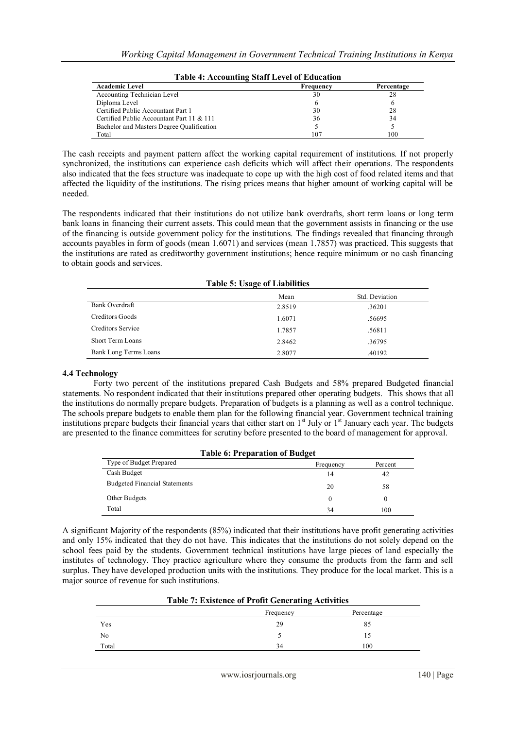| <b>Table 4: Accounting Staff Level of Education</b> |           |            |  |
|-----------------------------------------------------|-----------|------------|--|
| <b>Academic Level</b>                               | Frequency | Percentage |  |
| Accounting Technician Level                         | 30        | 28         |  |
| Diploma Level                                       | 6         | 6          |  |
| Certified Public Accountant Part 1                  | 30        | 28         |  |
| Certified Public Accountant Part 11 & 111           | 36        | 34         |  |
| Bachelor and Masters Degree Qualification           |           |            |  |
| Total                                               | 107       | 100        |  |

The cash receipts and payment pattern affect the working capital requirement of institutions. If not properly synchronized, the institutions can experience cash deficits which will affect their operations. The respondents also indicated that the fees structure was inadequate to cope up with the high cost of food related items and that affected the liquidity of the institutions. The rising prices means that higher amount of working capital will be needed.

The respondents indicated that their institutions do not utilize bank overdrafts, short term loans or long term bank loans in financing their current assets. This could mean that the government assists in financing or the use of the financing is outside government policy for the institutions. The findings revealed that financing through accounts payables in form of goods (mean 1.6071) and services (mean 1.7857) was practiced. This suggests that the institutions are rated as creditworthy government institutions; hence require minimum or no cash financing to obtain goods and services.

| <b>Table 5: Usage of Liabilities</b> |        |                |  |
|--------------------------------------|--------|----------------|--|
|                                      | Mean   | Std. Deviation |  |
| Bank Overdraft                       | 2.8519 | .36201         |  |
| Creditors Goods                      | 1.6071 | .56695         |  |
| Creditors Service                    | 1.7857 | .56811         |  |
| <b>Short Term Loans</b>              | 2.8462 | .36795         |  |
| Bank Long Terms Loans                | 2.8077 | .40192         |  |

#### **4.4 Technology**

Forty two percent of the institutions prepared Cash Budgets and 58% prepared Budgeted financial statements. No respondent indicated that their institutions prepared other operating budgets. This shows that all the institutions do normally prepare budgets. Preparation of budgets is a planning as well as a control technique. The schools prepare budgets to enable them plan for the following financial year. Government technical training institutions prepare budgets their financial years that either start on  $1<sup>st</sup>$  July or  $1<sup>st</sup>$  January each year. The budgets are presented to the finance committees for scrutiny before presented to the board of management for approval.

| <b>Table 6: Preparation of Budget</b> |           |         |  |
|---------------------------------------|-----------|---------|--|
| Type of Budget Prepared               | Frequency | Percent |  |
| Cash Budget                           | 14        | 42      |  |
| <b>Budgeted Financial Statements</b>  | 20        | 58      |  |
| Other Budgets                         | 0         |         |  |
| Total                                 | 34        | 100     |  |

A significant Majority of the respondents (85%) indicated that their institutions have profit generating activities and only 15% indicated that they do not have. This indicates that the institutions do not solely depend on the school fees paid by the students. Government technical institutions have large pieces of land especially the institutes of technology. They practice agriculture where they consume the products from the farm and sell surplus. They have developed production units with the institutions. They produce for the local market. This is a major source of revenue for such institutions.

| Table 7: Existence of Profit Generating Activities |           |            |
|----------------------------------------------------|-----------|------------|
|                                                    | Frequency | Percentage |
| Yes                                                | 29        |            |
| No                                                 |           |            |
| Total                                              | 34        | 100        |

## **Table 7: Existence of Profit Generating Activities**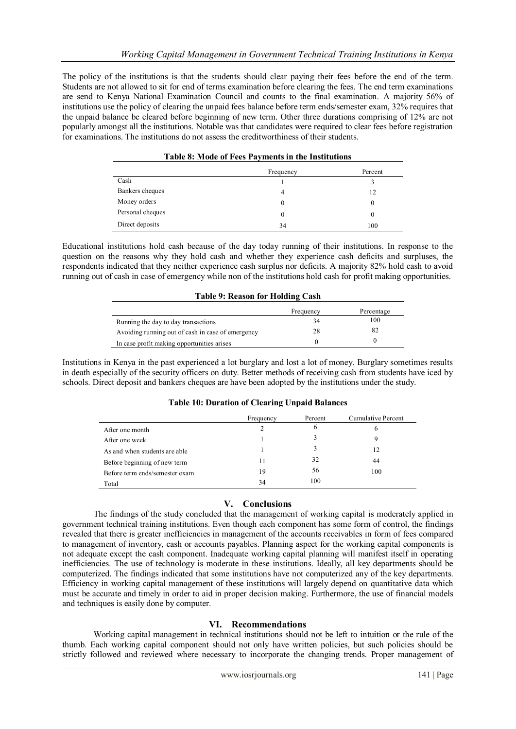The policy of the institutions is that the students should clear paying their fees before the end of the term. Students are not allowed to sit for end of terms examination before clearing the fees. The end term examinations are send to Kenya National Examination Council and counts to the final examination. A majority 56% of institutions use the policy of clearing the unpaid fees balance before term ends/semester exam, 32% requires that the unpaid balance be cleared before beginning of new term. Other three durations comprising of 12% are not popularly amongst all the institutions. Notable was that candidates were required to clear fees before registration for examinations. The institutions do not assess the creditworthiness of their students.

| Table 8: Mode of Fees Payments in the Institutions |           |          |
|----------------------------------------------------|-----------|----------|
|                                                    | Frequency | Percent  |
| Cash                                               |           |          |
| Bankers cheques                                    | 4         | 12       |
| Money orders                                       | 0         | $\theta$ |
| Personal cheques                                   | 0         | $\theta$ |
| Direct deposits                                    | 34        | 100      |

## Educational institutions hold cash because of the day today running of their institutions. In response to the question on the reasons why they hold cash and whether they experience cash deficits and surpluses, the respondents indicated that they neither experience cash surplus nor deficits. A majority 82% hold cash to avoid running out of cash in case of emergency while non of the institutions hold cash for profit making opportunities.

## **Table 9: Reason for Holding Cash**

|                                                   | Frequency | Percentage |
|---------------------------------------------------|-----------|------------|
| Running the day to day transactions               | 34        | 100        |
| Avoiding running out of cash in case of emergency | 28        |            |
| In case profit making opportunities arises        |           |            |

Institutions in Kenya in the past experienced a lot burglary and lost a lot of money. Burglary sometimes results in death especially of the security officers on duty. Better methods of receiving cash from students have iced by schools. Direct deposit and bankers cheques are have been adopted by the institutions under the study.

| Table TV: Duration of Clearing Unpaid Balances |           |         |                    |
|------------------------------------------------|-----------|---------|--------------------|
|                                                | Frequency | Percent | Cumulative Percent |
| After one month                                |           | h       | 6                  |
| After one week                                 |           |         |                    |
| As and when students are able                  |           |         | 12                 |
| Before beginning of new term                   | 11        | 32      | 44                 |
| Before term ends/semester exam                 | 19        | 56      | 100                |
| Total                                          | 34        | 100     |                    |

## **Table 10: Duration of Clearing Unpaid Balances**

## **V. Conclusions**

The findings of the study concluded that the management of working capital is moderately applied in government technical training institutions. Even though each component has some form of control, the findings revealed that there is greater inefficiencies in management of the accounts receivables in form of fees compared to management of inventory, cash or accounts payables. Planning aspect for the working capital components is not adequate except the cash component. Inadequate working capital planning will manifest itself in operating inefficiencies. The use of technology is moderate in these institutions. Ideally, all key departments should be computerized. The findings indicated that some institutions have not computerized any of the key departments. Efficiency in working capital management of these institutions will largely depend on quantitative data which must be accurate and timely in order to aid in proper decision making. Furthermore, the use of financial models and techniques is easily done by computer.

## **VI. Recommendations**

Working capital management in technical institutions should not be left to intuition or the rule of the thumb. Each working capital component should not only have written policies, but such policies should be strictly followed and reviewed where necessary to incorporate the changing trends. Proper management of